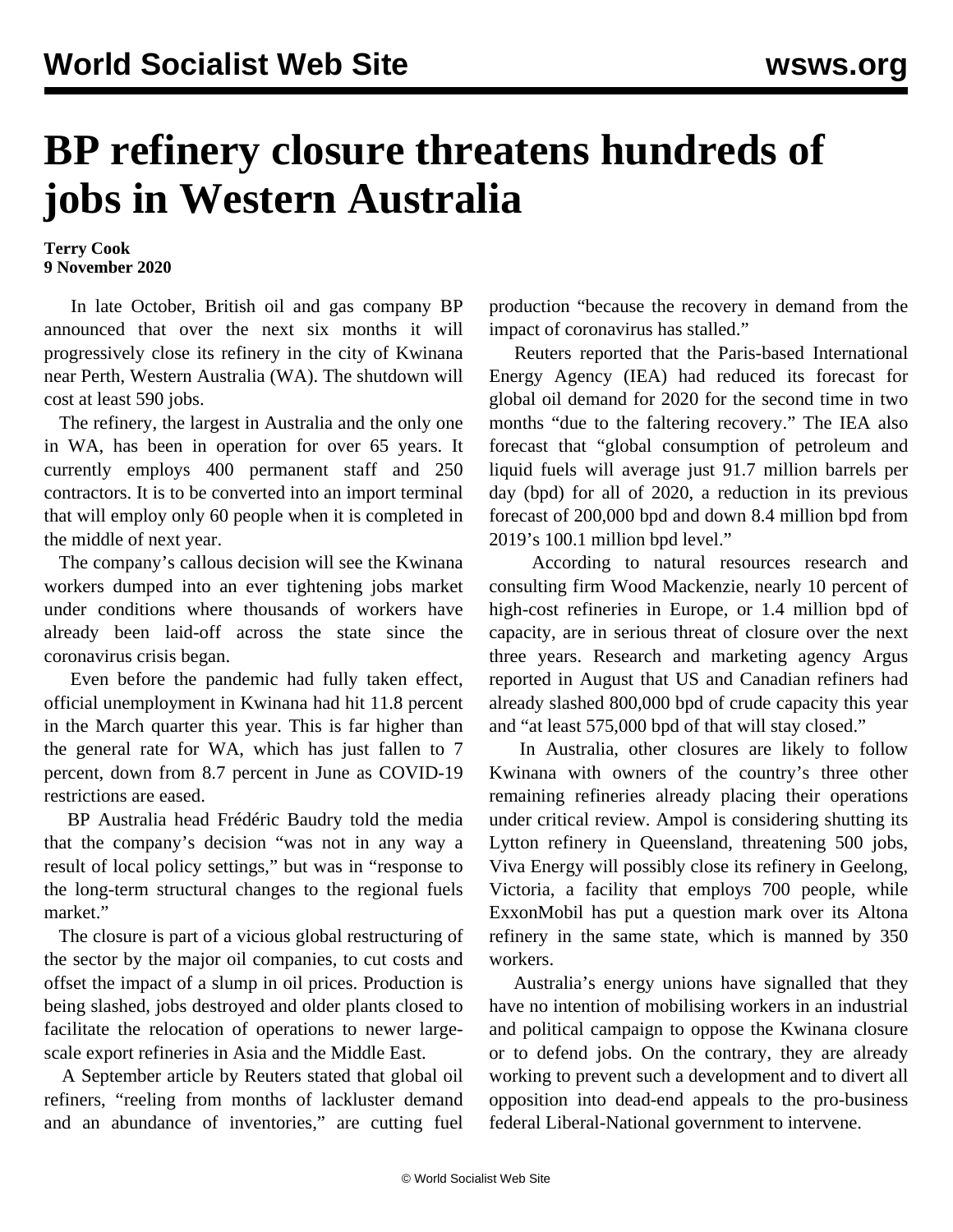## **BP refinery closure threatens hundreds of jobs in Western Australia**

**Terry Cook 9 November 2020**

 In late October, British oil and gas company BP announced that over the next six months it will progressively close its refinery in the city of Kwinana near Perth, Western Australia (WA). The shutdown will cost at least 590 jobs.

 The refinery, the largest in Australia and the only one in WA, has been in operation for over 65 years. It currently employs 400 permanent staff and 250 contractors. It is to be converted into an import terminal that will employ only 60 people when it is completed in the middle of next year.

 The company's callous decision will see the Kwinana workers dumped into an ever tightening jobs market under conditions where thousands of workers have already been laid-off across the state since the coronavirus crisis began.

 Even before the pandemic had fully taken effect, official unemployment in Kwinana had hit 11.8 percent in the March quarter this year. This is far higher than the general rate for WA, which has just fallen to 7 percent, down from 8.7 percent in June as COVID-19 restrictions are eased.

 BP Australia head Frédéric Baudry told the media that the company's decision "was not in any way a result of local policy settings," but was in "response to the long-term structural changes to the regional fuels market."

 The closure is part of a vicious global restructuring of the sector by the major oil companies, to cut costs and offset the impact of a slump in oil prices. Production is being slashed, jobs destroyed and older plants closed to facilitate the relocation of operations to newer largescale export refineries in Asia and the Middle East.

 A September article by Reuters stated that global oil refiners, "reeling from months of lackluster demand and an abundance of inventories," are cutting fuel production "because the recovery in demand from the impact of coronavirus has stalled."

 Reuters reported that the Paris-based International Energy Agency (IEA) had reduced its forecast for global oil demand for 2020 for the second time in two months "due to the faltering recovery." The IEA also forecast that "global consumption of petroleum and liquid fuels will average just 91.7 million barrels per day (bpd) for all of 2020, a reduction in its previous forecast of 200,000 bpd and down 8.4 million bpd from 2019's 100.1 million bpd level."

 According to natural resources research and consulting firm Wood Mackenzie, nearly 10 percent of high-cost refineries in Europe, or 1.4 million bpd of capacity, are in serious threat of closure over the next three years. Research and marketing agency Argus reported in August that US and Canadian refiners had already slashed 800,000 bpd of crude capacity this year and "at least 575,000 bpd of that will stay closed."

 In Australia, other closures are likely to follow Kwinana with owners of the country's three other remaining refineries already placing their operations under critical review. Ampol is considering shutting its Lytton refinery in Queensland, threatening 500 jobs, Viva Energy will possibly close its refinery in Geelong, Victoria, a facility that employs 700 people, while ExxonMobil has put a question mark over its Altona refinery in the same state, which is manned by 350 workers.

 Australia's energy unions have signalled that they have no intention of mobilising workers in an industrial and political campaign to oppose the Kwinana closure or to defend jobs. On the contrary, they are already working to prevent such a development and to divert all opposition into dead-end appeals to the pro-business federal Liberal-National government to intervene.